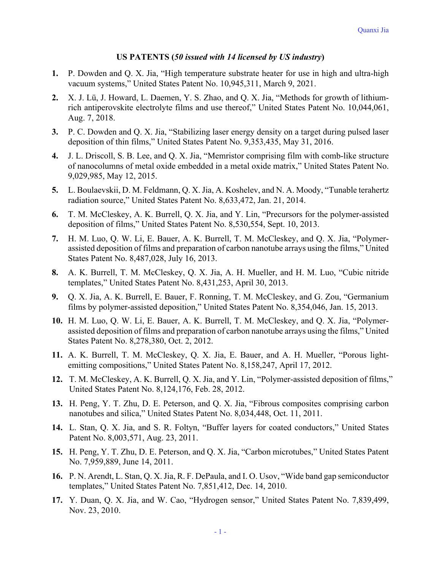## **US PATENTS (***50 issued with 14 licensed by US industry***)**

- **1.** P. Dowden and Q. X. Jia, "High temperature substrate heater for use in high and ultra-high vacuum systems," United States Patent No. 10,945,311, March 9, 2021.
- rich antiperovskite electrolyte films and use thereof," United States Patent No. 10,044,061, **2.** X. J. Lü, J. Howard, L. Daemen, Y. S. Zhao, and Q. X. Jia, "Methods for growth of lithium-Aug. 7, 2018.
- **3.** P. C. Dowden and Q. X. Jia, "Stabilizing laser energy density on a target during pulsed laser deposition of thin films," United States Patent No. 9,353,435, May 31, 2016.
- **4.** J. L. Driscoll, S. B. Lee, and Q. X. Jia, "Memristor comprising film with comb-like structure of nanocolumns of metal oxide embedded in a metal oxide matrix," United States Patent No. 9,029,985, May 12, 2015.
- **5.** L. Boulaevskii, D. M. Feldmann, Q. X. Jia, A. Koshelev, and N. A. Moody, "Tunable terahertz radiation source," United States Patent No. 8,633,472, Jan. 21, 2014.
- **6.** T. M. McCleskey, A. K. Burrell, Q. X. Jia, and Y. Lin, "Precursors for the polymer-assisted deposition of films," United States Patent No. 8,530,554, Sept. 10, 2013.
- assisted deposition of films and preparation of carbon nanotube arrays using the films," United **7.** H. M. Luo, Q. W. Li, E. Bauer, A. K. Burrell, T. M. McCleskey, and Q. X. Jia, "Polymer-States Patent No. 8,487,028, July 16, 2013.
- **8.** A. K. Burrell, T. M. McCleskey, Q. X. Jia, A. H. Mueller, and H. M. Luo, "Cubic nitride templates," United States Patent No. 8,431,253, April 30, 2013.
- **9.** Q. X. Jia, A. K. Burrell, E. Bauer, F. Ronning, T. M. McCleskey, and G. Zou, "Germanium films by polymer-assisted deposition," United States Patent No. 8,354,046, Jan. 15, 2013.
- assisted deposition of films and preparation of carbon nanotube arrays using the films," United **10.** H. M. Luo, Q. W. Li, E. Bauer, A. K. Burrell, T. M. McCleskey, and Q. X. Jia, "Polymer-States Patent No. 8,278,380, Oct. 2, 2012.
- **11.** A. K. Burrell, T. M. McCleskey, Q. X. Jia, E. Bauer, and A. H. Mueller, "Porous lightemitting compositions," United States Patent No. 8,158,247, April 17, 2012.
- **12.** T. M. McCleskey, A. K. Burrell, Q. X. Jia, and Y. Lin, "Polymer-assisted deposition of films," United States Patent No. 8,124,176, Feb. 28, 2012.
- **13.** H. Peng, Y. T. Zhu, D. E. Peterson, and Q. X. Jia, "Fibrous composites comprising carbon nanotubes and silica," United States Patent No. 8,034,448, Oct. 11, 2011.
- **14.** L. Stan, Q. X. Jia, and S. R. Foltyn, "Buffer layers for coated conductors," United States Patent No. 8,003,571, Aug. 23, 2011.
- **15.** H. Peng, Y. T. Zhu, D. E. Peterson, and Q. X. Jia, "Carbon microtubes," United States Patent No. 7,959,889, June 14, 2011.
- **16.** P. N. Arendt, L. Stan, Q. X. Jia, R. F. DePaula, and I. O. Usov, "Wide band gap semiconductor templates," United States Patent No. 7,851,412, Dec. 14, 2010.
- **17.** Y. Duan, Q. X. Jia, and W. Cao, "Hydrogen sensor," United States Patent No. 7,839,499, Nov. 23, 2010.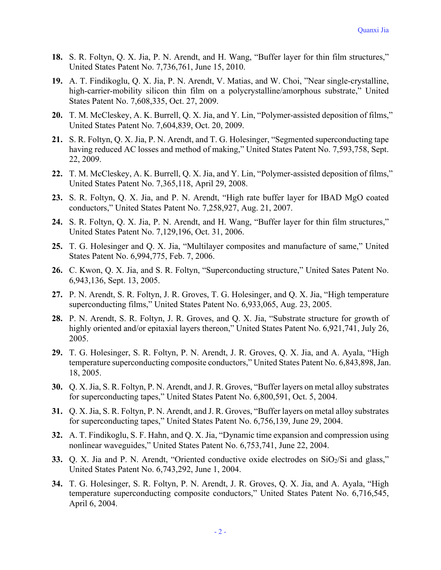- **18.** S. R. Foltyn, Q. X. Jia, P. N. Arendt, and H. Wang, "Buffer layer for thin film structures," United States Patent No. 7,736,761, June 15, 2010.
- high-carrier-mobility silicon thin film on a polycrystalline/amorphous substrate," United **19.** A. T. Findikoglu, Q. X. Jia, P. N. Arendt, V. Matias, and W. Choi, "Near single-crystalline, States Patent No. 7,608,335, Oct. 27, 2009.
- **20.** T. M. McCleskey, A. K. Burrell, Q. X. Jia, and Y. Lin, "Polymer-assisted deposition of films," United States Patent No. 7,604,839, Oct. 20, 2009.
- having reduced AC losses and method of making," United States Patent No. 7,593,758, Sept. **21.** S. R. Foltyn, Q. X. Jia, P. N. Arendt, and T. G. Holesinger, "Segmented superconducting tape 22, 2009.
- **22.** T. M. McCleskey, A. K. Burrell, Q. X. Jia, and Y. Lin, "Polymer-assisted deposition of films," United States Patent No. 7,365,118, April 29, 2008.
- **23.** S. R. Foltyn, Q. X. Jia, and P. N. Arendt, "High rate buffer layer for IBAD MgO coated conductors," United States Patent No. 7,258,927, Aug. 21, 2007.
- **24.** S. R. Foltyn, Q. X. Jia, P. N. Arendt, and H. Wang, "Buffer layer for thin film structures," United States Patent No. 7,129,196, Oct. 31, 2006.
- **25.** T. G. Holesinger and Q. X. Jia, "Multilayer composites and manufacture of same," United States Patent No. 6,994,775, Feb. 7, 2006.
- **26.** C. Kwon, Q. X. Jia, and S. R. Foltyn, "Superconducting structure," United Sates Patent No. 6,943,136, Sept. 13, 2005.
- **27.** P. N. Arendt, S. R. Foltyn, J. R. Groves, T. G. Holesinger, and Q. X. Jia, "High temperature superconducting films," United States Patent No. 6,933,065, Aug. 23, 2005.
- **28.** P. N. Arendt, S. R. Foltyn, J. R. Groves, and Q. X. Jia, "Substrate structure for growth of highly oriented and/or epitaxial layers thereon," United States Patent No. 6,921,741, July 26, 2005.
- temperature superconducting composite conductors," United States Patent No. 6,843,898, Jan. **29.** T. G. Holesinger, S. R. Foltyn, P. N. Arendt, J. R. Groves, Q. X. Jia, and A. Ayala, "High 18, 2005.
- **30.** Q. X. Jia, S. R. Foltyn, P. N. Arendt, and J. R. Groves, "Buffer layers on metal alloy substrates for superconducting tapes," United States Patent No. 6,800,591, Oct. 5, 2004.
- **31.** Q. X. Jia, S. R. Foltyn, P. N. Arendt, and J. R. Groves, "Buffer layers on metal alloy substrates for superconducting tapes," United States Patent No. 6,756,139, June 29, 2004.
- **32.** A. T. Findikoglu, S. F. Hahn, and Q. X. Jia, "Dynamic time expansion and compression using nonlinear waveguides," United States Patent No. 6,753,741, June 22, 2004.
- **33.** Q. X. Jia and P. N. Arendt, "Oriented conductive oxide electrodes on SiO<sub>2</sub>/Si and glass," United States Patent No. 6,743,292, June 1, 2004.
- temperature superconducting composite conductors," United States Patent No. 6,716,545, **34.** T. G. Holesinger, S. R. Foltyn, P. N. Arendt, J. R. Groves, Q. X. Jia, and A. Ayala, "High April 6, 2004.